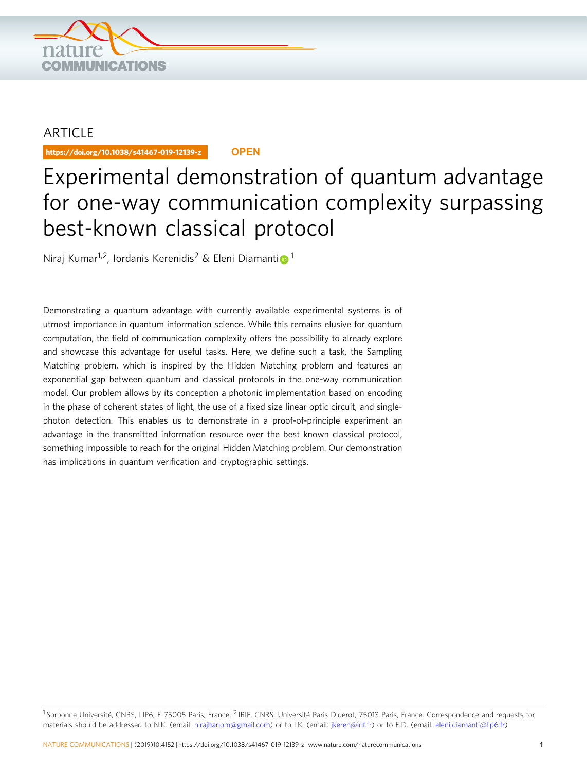

## **ARTICLE**

https://doi.org/10.1038/s41467-019-12139-z **OPEN**

# Experimental demonstration of quantum advantage for one-way communication complexity surpassing best-known classical protocol

N[i](http://orcid.org/0000-0003-1795-5711)rai Kumar<sup>1,2</sup>, Iordanis Kerenidis<sup>2</sup> & Eleni Diamanti<sup>o</sup><sup>1</sup>

Demonstrating a quantum advantage with currently available experimental systems is of utmost importance in quantum information science. While this remains elusive for quantum computation, the field of communication complexity offers the possibility to already explore and showcase this advantage for useful tasks. Here, we define such a task, the Sampling Matching problem, which is inspired by the Hidden Matching problem and features an exponential gap between quantum and classical protocols in the one-way communication model. Our problem allows by its conception a photonic implementation based on encoding in the phase of coherent states of light, the use of a fixed size linear optic circuit, and singlephoton detection. This enables us to demonstrate in a proof-of-principle experiment an advantage in the transmitted information resource over the best known classical protocol, something impossible to reach for the original Hidden Matching problem. Our demonstration has implications in quantum verification and cryptographic settings.

<sup>1</sup> Sorbonne Université, CNRS, LIP6, F-75005 Paris, France. <sup>2</sup> IRIF, CNRS, Université Paris Diderot, 75013 Paris, France. Correspondence and requests for materials should be addressed to N.K. (email: [nirajhariom@gmail.com\)](mailto:nirajhariom@gmail.com) or to I.K. (email: [jkeren@irif.fr](mailto:jkeren@irif.fr)) or to E.D. (email: [eleni.diamanti@lip6.fr](mailto:eleni.diamanti@lip6.fr))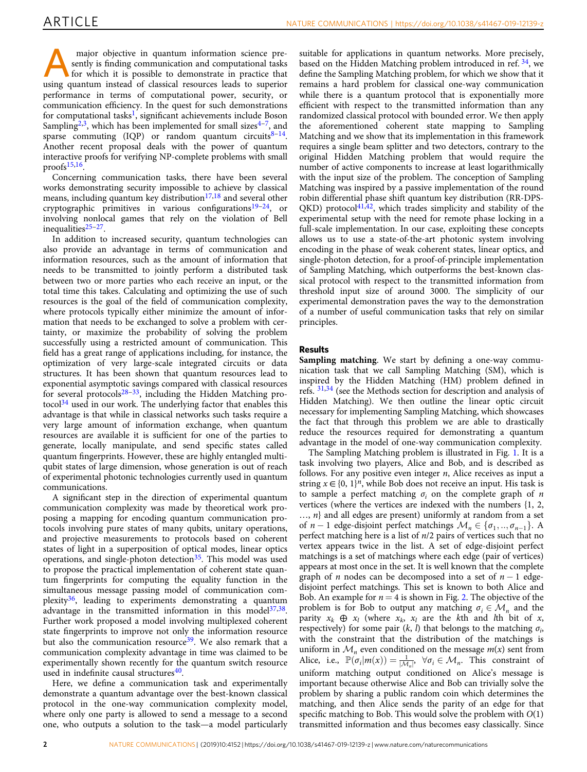major objective in quantum information science pre-<br>sently is finding communication and computational tasks<br>for which it is possible to demonstrate in practice that<br>using quantum instead of classical resources leads to sup sently is finding communication and computational tasks using quantum instead of classical resources leads to superior performance in terms of computational power, security, or communication efficiency. In the quest for such demonstrations for computational tasks<sup>[1](#page-8-0)</sup>, significant achievements include Boson Sampling<sup>2,3</sup>, which has been implemented for small sizes<sup>4–7</sup>, and sparse commuting (IQP) or random quantum circuits $8-14$  $8-14$ . Another recent proposal deals with the power of quantum interactive proofs for verifying NP-complete problems with small proofs $15,16$ .

Concerning communication tasks, there have been several works demonstrating security impossible to achieve by classical means, including quantum key distribution $17,18$  $17,18$  $17,18$  and several other cryptographic primitives in various configurations<sup>[19](#page-8-0)–[24](#page-8-0)</sup>, or involving nonlocal games that rely on the violation of Bell inequalities $25-27$  $25-27$ .

In addition to increased security, quantum technologies can also provide an advantage in terms of communication and information resources, such as the amount of information that needs to be transmitted to jointly perform a distributed task between two or more parties who each receive an input, or the total time this takes. Calculating and optimizing the use of such resources is the goal of the field of communication complexity, where protocols typically either minimize the amount of information that needs to be exchanged to solve a problem with certainty, or maximize the probability of solving the problem successfully using a restricted amount of communication. This field has a great range of applications including, for instance, the optimization of very large-scale integrated circuits or data structures. It has been shown that quantum resources lead to exponential asymptotic savings compared with classical resources for several protocols $28-33$  $28-33$  $28-33$ , including the Hidden Matching pro $to$ col<sup>34</sup> used in our work. The underlying factor that enables this advantage is that while in classical networks such tasks require a very large amount of information exchange, when quantum resources are available it is sufficient for one of the parties to generate, locally manipulate, and send specific states called quantum fingerprints. However, these are highly entangled multiqubit states of large dimension, whose generation is out of reach of experimental photonic technologies currently used in quantum communications.

A significant step in the direction of experimental quantum communication complexity was made by theoretical work proposing a mapping for encoding quantum communication protocols involving pure states of many qubits, unitary operations, and projective measurements to protocols based on coherent states of light in a superposition of optical modes, linear optics operations, and single-photon detection $35$ . This model was used to propose the practical implementation of coherent state quantum fingerprints for computing the equality function in the simultaneous message passing model of communication complexity $36$ , leading to experiments demonstrating a quantum advantage in the transmitted information in this model $37,38$ . Further work proposed a model involving multiplexed coherent state fingerprints to improve not only the information resource but also the communication resource<sup>39</sup>. We also remark that a communication complexity advantage in time was claimed to be experimentally shown recently for the quantum switch resource used in indefinite causal structures<sup>[40](#page-9-0)</sup>.

Here, we define a communication task and experimentally demonstrate a quantum advantage over the best-known classical protocol in the one-way communication complexity model, where only one party is allowed to send a message to a second one, who outputs a solution to the task—a model particularly

suitable for applications in quantum networks. More precisely, based on the Hidden Matching problem introduced in ref. [34](#page-9-0), we define the Sampling Matching problem, for which we show that it remains a hard problem for classical one-way communication while there is a quantum protocol that is exponentially more efficient with respect to the transmitted information than any randomized classical protocol with bounded error. We then apply the aforementioned coherent state mapping to Sampling Matching and we show that its implementation in this framework requires a single beam splitter and two detectors, contrary to the original Hidden Matching problem that would require the number of active components to increase at least logarithmically with the input size of the problem. The conception of Sampling Matching was inspired by a passive implementation of the round robin differential phase shift quantum key distribution (RR-DPS- $QKD$ ) protocol<sup>41,42</sup>, which trades simplicity and stability of the experimental setup with the need for remote phase locking in a full-scale implementation. In our case, exploiting these concepts allows us to use a state-of-the-art photonic system involving encoding in the phase of weak coherent states, linear optics, and single-photon detection, for a proof-of-principle implementation of Sampling Matching, which outperforms the best-known classical protocol with respect to the transmitted information from threshold input size of around 3000. The simplicity of our experimental demonstration paves the way to the demonstration of a number of useful communication tasks that rely on similar principles.

### Results

Sampling matching. We start by defining a one-way communication task that we call Sampling Matching (SM), which is inspired by the Hidden Matching (HM) problem defined in refs.  $31,34$  $31,34$  $31,34$  (see the Methods section for description and analysis of Hidden Matching). We then outline the linear optic circuit necessary for implementing Sampling Matching, which showcases the fact that through this problem we are able to drastically reduce the resources required for demonstrating a quantum advantage in the model of one-way communication complexity.

The Sampling Matching problem is illustrated in Fig. [1.](#page-2-0) It is a task involving two players, Alice and Bob, and is described as follows. For any positive even integer  $n$ , Alice receives as input a string  $x \in \{0, 1\}^n$ , while Bob does not receive an input. His task is to sample a perfect matching  $\sigma_i$  on the complete graph of *n* vertices (where the vertices are indexed with the numbers {1, 2,  $..., n$ } and all edges are present) uniformly at random from a set of  $n-1$  edge-disjoint perfect matchings  $\mathcal{M}_n \in \{\sigma_1, ..., \sigma_{n-1}\}\.$  A perfect matching here is a list of *n*/2 pairs of vertices such that no perfect matching here is a list of  $n/2$  pairs of vertices such that no vertex appears twice in the list. A set of edge-disjoint perfect matchings is a set of matchings where each edge (pair of vertices) appears at most once in the set. It is well known that the complete graph of *n* nodes can be decomposed into a set of  $n - 1$  edgedisjoint perfect matchings. This set is known to both Alice and Bob. An example for  $n = 4$  is shown in Fig. [2.](#page-2-0) The objective of the problem is for Bob to output any matching  $\sigma_i \in \mathcal{M}_n$  and the parity  $x_k \oplus x_l$  (where  $x_k$ ,  $x_l$  are the kth and lth bit of x, respectively) for some pair  $(k, l)$  that belongs to the matching  $\sigma_i$ , with the constraint that the distribution of the matchings is uniform in  $\mathcal{M}_n$  even conditioned on the message  $m(x)$  sent from Alice, i.e.,  $\mathbb{P}(\sigma_i|m(x)) = \frac{1}{|\mathcal{M}_n|}, \forall \sigma_i \in \mathcal{M}_n$ . This constraint of uniform matching output conditioned on Alice's message is important because otherwise Alice and Bob can trivially solve the problem by sharing a public random coin which determines the matching, and then Alice sends the parity of an edge for that specific matching to Bob. This would solve the problem with  $O(1)$ transmitted information and thus becomes easy classically. Since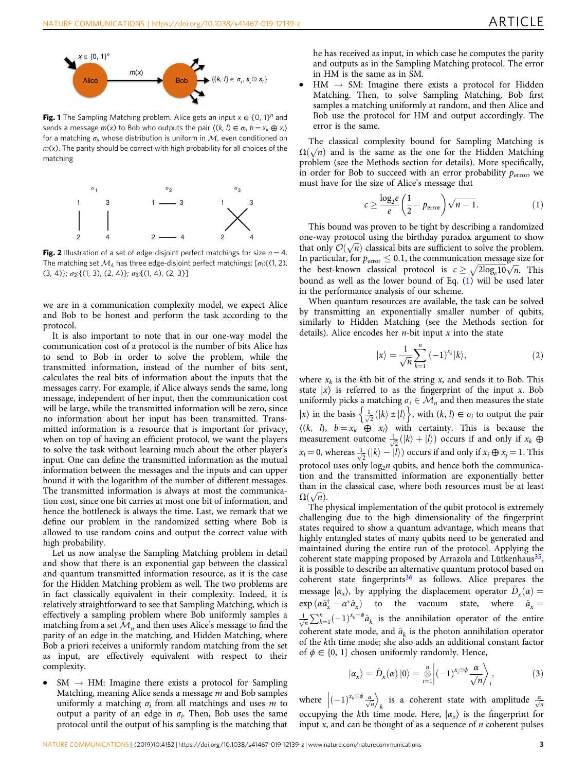<span id="page-2-0"></span>

Fig. 1 The Sampling Matching problem. Alice gets an input  $x \in \{0, 1\}^n$  and sends a message  $m(x)$  to Bob who outputs the pair  $\langle (k, l) \in \sigma_{i}$ ,  $b = x_{k} \oplus x_{l} \rangle$ for a matching  $\sigma_{ii}$  whose distribution is uniform in  $M$ , even conditioned on<br>m(x). The parity should be cerrect with high probability for all choices of the  $m(x)$ . The parity should be correct with high probability for all choices of the matching



Fig. 2 Illustration of a set of edge-disjoint perfect matchings for size  $n = 4$ . The matching set  $\mathcal{M}_4$  has three edge-disjoint perfect matchings: [ $\sigma_1$ :{(1, 2), (3, 4)};  $\sigma_2$ :{(1, 3), (2, 4)};  $\sigma_3$ :{(1, 4), (2, 3}]

we are in a communication complexity model, we expect Alice and Bob to be honest and perform the task according to the protocol.

It is also important to note that in our one-way model the communication cost of a protocol is the number of bits Alice has to send to Bob in order to solve the problem, while the transmitted information, instead of the number of bits sent, calculates the real bits of information about the inputs that the messages carry. For example, if Alice always sends the same, long message, independent of her input, then the communication cost will be large, while the transmitted information will be zero, since no information about her input has been transmitted. Transmitted information is a resource that is important for privacy, when on top of having an efficient protocol, we want the players to solve the task without learning much about the other player's input. One can define the transmitted information as the mutual information between the messages and the inputs and can upper bound it with the logarithm of the number of different messages. The transmitted information is always at most the communication cost, since one bit carries at most one bit of information, and hence the bottleneck is always the time. Last, we remark that we define our problem in the randomized setting where Bob is allowed to use random coins and output the correct value with high probability.

Let us now analyse the Sampling Matching problem in detail and show that there is an exponential gap between the classical and quantum transmitted information resource, as it is the case for the Hidden Matching problem as well. The two problems are in fact classically equivalent in their complexity. Indeed, it is relatively straightforward to see that Sampling Matching, which is effectively a sampling problem where Bob uniformly samples a matching from a set  $\mathcal{M}_n$  and then uses Alice's message to find the parity of an edge in the matching, and Hidden Matching, where Bob a priori receives a uniformly random matching from the set as input, are effectively equivalent with respect to their complexity.

 $SM \rightarrow HM$ : Imagine there exists a protocol for Sampling Matching, meaning Alice sends a message m and Bob samples uniformly a matching  $\sigma_i$  from all matchings and uses m to output a parity of an edge in  $\sigma_i$ . Then, Bob uses the same protocol until the output of his sampling is the matching that he has received as input, in which case he computes the parity and outputs as in the Sampling Matching protocol. The error in HM is the same as in SM.

 $HM \rightarrow SM$ : Imagine there exists a protocol for Hidden Matching. Then, to solve Sampling Matching, Bob first samples a matching uniformly at random, and then Alice and Bob use the protocol for HM and output accordingly. The error is the same.

The classical complexity bound for Sampling Matching is  $\Omega(\sqrt{n})$  and is the same as the one for the Hidden Matching<br>problem (see the Methods section for details). More specifically, problem (see the Methods section for details). More specifically, in order for Bob to succeed with an error probability  $p_{\text{error}}$ , we must have for the size of Alice's message that

$$
c \ge \frac{\log_2 e}{e} \left(\frac{1}{2} - p_{\text{error}}\right) \sqrt{n - 1}.\tag{1}
$$

This bound was proven to be tight by describing a randomized one-way protocol using the birthday paradox argument to show that only  $\mathcal{O}(\sqrt{n})$  classical bits are sufficient to solve the problem.<br>In particular, for  $p \leq 0.1$ , the communication message size for In particular, for  $p_{error} \leq 0.1$ , the communication message size for the best-known classical protocol is  $c \ge \sqrt{2\log_e 10\sqrt{n}}$ . This bound as well as the lower bound of Eq.  $(1)$  will be used later in the performance analysis of our scheme.

When quantum resources are available, the task can be solved by transmitting an exponentially smaller number of qubits, similarly to Hidden Matching (see the Methods section for details). Alice encodes her  $n$ -bit input  $x$  into the state

$$
|x\rangle = \frac{1}{\sqrt{n}} \sum_{k=1}^{n} (-1)^{x_k} |k\rangle,
$$
 (2)

where  $x_k$  is the kth bit of the string x, and sends it to Bob. This state  $|x\rangle$  is referred to as the fingerprint of the input x. Bob uniformly picks a matching  $\sigma_i \in \mathcal{M}_n$  and then measures the state |x) in the basis  $\left\{\frac{1}{\sqrt{2}}(|k\rangle \pm |l\rangle\right\}$ , with  $(k, l) \in \sigma_i$  to output the pair  $\langle (k, l), b = x_k \oplus x_l \rangle$  with certainty. This is because the measurement outcome  $\frac{1}{\sqrt{2}}(|k\rangle + |l\rangle)$  occurs if and only if  $x_k \oplus$  $x_l = 0$ , whereas  $\frac{1}{\sqrt{2}}(|k\rangle - |l\rangle)$  occurs if and only if  $x_i \oplus x_j = 1$ . This protocol uses only  $log<sub>2</sub>n$  qubits, and hence both the communication and the transmitted information are exponentially better than in the classical case, where both resources must be at least  $\Omega(\sqrt{n}).$ <br>The r

The physical implementation of the qubit protocol is extremely challenging due to the high dimensionality of the fingerprint states required to show a quantum advantage, which means that highly entangled states of many qubits need to be generated and maintained during the entire run of the protocol. Applying the coherent state mapping proposed by Arrazola and Lütkenhaus $35$ , it is possible to describe an alternative quantum protocol based on coherent state fingerprints $36$  as follows. Alice prepares the message  $|\alpha_x\rangle$ , by applying the displacement operator  $\hat{D}_x(\alpha) =$  $\exp(\alpha \hat{a}_x^\dagger - \alpha^* \hat{a}_x)$  to the vacuum state, where  $\hat{a}_x =$  $\frac{1}{\sqrt{n}} \sum_{k=1}^{n} (-1)^{x_k+\phi} \hat{a}_k$  is the annihilation operator of the entire coherent state mode, and  $\hat{a}_k$  is the photon annihilation operator of the kth time mode; she also adds an additional constant factor of  $\phi \in \{0, 1\}$  chosen uniformly randomly. Hence,

$$
|\alpha_{x}\rangle = \hat{D}_{x}(\alpha) |0\rangle = \mathop{\otimes}\limits_{i=1}^{n} \left| (-1)^{x_{i} \oplus \phi} \frac{\alpha}{\sqrt{n}} \right\rangle_{i}, \tag{3}
$$

where  $\left| (-1)^{x_k \oplus \phi} \frac{\alpha}{\sqrt{n}} \right|$  $\left\langle \right\rangle_k$  is a coherent state with amplitude  $\frac{\alpha}{\sqrt{n}}$ occupying the kth time mode. Here,  $|\alpha_x\rangle$  is the fingerprint for input x, and can be thought of as a sequence of  $n$  coherent pulses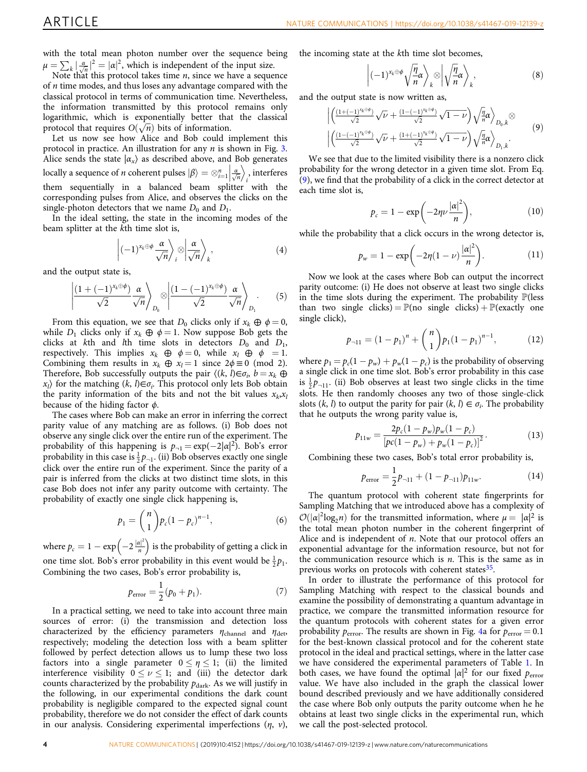with the total mean photon number over the sequence being  $\mu = \sum_{k} \left| \frac{\alpha}{\sqrt{n}} \right|$ <br>Note that  $\alpha^2 = |\alpha|^2$ , which is independent of the input size.<br>this protocol takes time *n*, since we have a seque

Note that this protocol takes time  $n,$  since we have a sequence of  $n$  time modes, and thus loses any advantage compared with the classical protocol in terms of communication time. Nevertheless, the information transmitted by this protocol remains only logarithmic, which is exponentially better that the classical protocol that requires  $O(\sqrt{n})$  bits of information.<br>Let us now see how Alice and Bob could i

Let us now see how Alice and Bob could implement this protocol in practice. An illustration for any  $n$  is shown in Fig. [3.](#page-4-0) Alice sends the state  $|\alpha_x\rangle$  as described above, and Bob generates locally a sequence of *n* coherent pulses  $\ket{\beta} = \otimes_{i=1}^{n} \left| \frac{\alpha}{\sqrt{n}} \right\rangle$ them sequentially in a balanced beam splitter with the i , interferes corresponding pulses from Alice, and observes the clicks on the single-photon detectors that we name  $D_0$  and  $D_1$ .

In the ideal setting, the state in the incoming modes of the beam splitter at the kth time slot is,

$$
\left|(-1)^{x_k \oplus \phi} \frac{\alpha}{\sqrt{n}} \right\rangle_i \otimes \left| \frac{\alpha}{\sqrt{n}} \right\rangle_k, \tag{4}
$$

and the output state is,

$$
\left| \frac{(1 + (-1)^{x_k \oplus \phi})}{\sqrt{2}} \frac{\alpha}{\sqrt{n}} \right\rangle_{D_0} \otimes \left| \frac{(1 - (-1)^{x_k \oplus \phi})}{\sqrt{2}} \frac{\alpha}{\sqrt{n}} \right\rangle_{D_1} . \tag{5}
$$

From this equation, we see that  $D_0$  clicks only if  $x_k \oplus \phi = 0$ , while  $D_1$  clicks only if  $x_k \oplus \phi = 1$ . Now suppose Bob gets the clicks at kth and lth time slots in detectors  $D_0$  and  $D_1$ , respectively. This implies  $x_k \oplus \phi = 0$ , while  $x_l \oplus \phi = 1$ . Combining them results in  $x_k \oplus x_l = 1$  since  $2\phi \equiv 0 \pmod{2}$ . Therefore, Bob successfully outputs the pair  $\langle (k, l) \in \sigma_i, b = x_k \oplus$  $\langle x_l \rangle$  for the matching  $(k, l) \in \sigma_i$ . This protocol only lets Bob obtain the parity information of the bits and not the bit values  $x_k, x_l$ because of the hiding factor  $\phi$ .

The cases where Bob can make an error in inferring the correct parity value of any matching are as follows. (i) Bob does not observe any single click over the entire run of the experiment. The probability of this happening is  $p_{\neg 1} = \exp(-2|\alpha|^2)$ . Bob's error probability in this case is  $\frac{1}{2}p_{-1}$ . (ii) Bob observes exactly one single<br>click over the entire run of the experiment. Since the parity of a click over the entire run of the experiment. Since the parity of a pair is inferred from the clicks at two distinct time slots, in this case Bob does not infer any parity outcome with certainty. The probability of exactly one single click happening is,

$$
p_1 = {n \choose 1} p_c (1 - p_c)^{n-1},
$$
 (6)

where  $p_c = 1 - \exp\left(-2\frac{|\alpha|^2}{n}\right)$  $\left(-2\frac{|\alpha|^2}{n}\right)$  is the probability of getting a click in one time slot. Bob's error probability in this event would be  $\frac{1}{2}p_1$ . Combining the two cases, Bob's error probability is,

$$
p_{\text{error}} = \frac{1}{2}(p_0 + p_1). \tag{7}
$$

In a practical setting, we need to take into account three main sources of error: (i) the transmission and detection loss characterized by the efficiency parameters  $\eta_{channel}$  and  $\eta_{det}$ respectively; modeling the detection loss with a beam splitter followed by perfect detection allows us to lump these two loss factors into a single parameter  $0 \le \eta \le 1$ ; (ii) the limited interference visibility  $0 \le \nu \le 1$ ; and (iii) the detector dark counts characterized by the probability  $p_{dark}$ . As we will justify in the following, in our experimental conditions the dark count probability is negligible compared to the expected signal count probability, therefore we do not consider the effect of dark counts in our analysis. Considering experimental imperfections  $(\eta, \nu)$ ,

the incoming state at the kth time slot becomes,

$$
\left|(-1)^{x_k \oplus \phi} \sqrt{\frac{\eta}{n}} \alpha \right\rangle_k \otimes \left| \sqrt{\frac{\eta}{n}} \alpha \right\rangle_k, \tag{8}
$$

and the output state is now written as,

$$
\begin{split} &\left| \left( \frac{\left(1+(-1)^{x_k \oplus \phi}}{\sqrt{2}} \sqrt{\nu} + \frac{\left(1-(-1)^{x_k \oplus \phi}}{\sqrt{2}} \sqrt{1-\nu} \right) \sqrt{\frac{\eta}{n}} \alpha \right)_{D_0,k} \otimes \right| \\ &\left| \left( \frac{\left(1-(-1)^{x_k \oplus \phi}}{\sqrt{2}} \sqrt{\nu} + \frac{\left(1+(-1)^{x_k \oplus \phi}}{\sqrt{2}} \sqrt{1-\nu} \right) \sqrt{\frac{\eta}{n}} \alpha \right)_{D_1,k} . \right. \end{split} \tag{9}
$$

We see that due to the limited visibility there is a nonzero click probability for the wrong detector in a given time slot. From Eq. (9), we find that the probability of a click in the correct detector at each time slot is,

$$
p_c = 1 - \exp\left(-2\eta\nu\frac{|\alpha|^2}{n}\right),\tag{10}
$$

while the probability that a click occurs in the wrong detector is,

$$
p_w = 1 - \exp\left(-2\eta(1-\nu)\frac{|\alpha|^2}{n}\right).
$$
 (11)

Now we look at the cases where Bob can output the incorrect parity outcome: (i) He does not observe at least two single clicks in the time slots during the experiment. The probability  $\mathbb{P}(\text{less})$ than two single clicks) =  $\mathbb{P}(\text{no single clicks}) + \mathbb{P}(\text{exactly one})$ single click),

$$
p_{-11} = (1 - p_1)^n + {n \choose 1} p_1 (1 - p_1)^{n-1},
$$
 (12)

where  $p_1 = p_c(1 - p_w) + p_w(1 - p_c)$  is the probability of observing a single click in one time slot. Bob's error probability in this case is  $\frac{1}{2}p_{-11}$ . (ii) Bob observes at least two single clicks in the time<br>slots. He then randomly chooses any two of those single-click slots. He then randomly chooses any two of those single-click slots  $(k, l)$  to output the parity for pair  $(k, l) \in \sigma_i$ . The probability that he outputs the wrong parity value is,

$$
p_{11w} = \frac{2p_c(1 - p_w)p_w(1 - p_c)}{[pc(1 - p_w) + p_w(1 - p_c)]^2}.
$$
 (13)

Combining these two cases, Bob's total error probability is,

$$
p_{\text{error}} = \frac{1}{2}p_{-11} + (1 - p_{-11})p_{11w}.
$$
 (14)

The quantum protocol with coherent state fingerprints for Sampling Matching that we introduced above has a complexity of  $\mathcal{O}(|\alpha|^2 \log_2 n)$  for the transmitted information, where  $\mu = |\alpha|^2$  is<br>the total mean photon number in the coherent fingerprint of the total mean photon number in the coherent fingerprint of Alice and is independent of  $n$ . Note that our protocol offers an exponential advantage for the information resource, but not for the communication resource which is  $n$ . This is the same as in previous works on protocols with coherent states<sup>[35](#page-9-0)</sup>.

In order to illustrate the performance of this protocol for Sampling Matching with respect to the classical bounds and examine the possibility of demonstrating a quantum advantage in practice, we compare the transmitted information resource for the quantum protocols with coherent states for a given error probability  $p_{\text{error}}$ . The results are shown in Fig. [4a](#page-4-0) for  $p_{\text{error}} = 0.1$ for the best-known classical protocol and for the coherent state protocol in the ideal and practical settings, where in the latter case we have considered the experimental parameters of Table [1.](#page-4-0) In both cases, we have found the optimal  $|\alpha|^2$  for our fixed  $p_{\text{error}}$ value. We have also included in the graph the classical lower bound described previously and we have additionally considered the case where Bob only outputs the parity outcome when he he obtains at least two single clicks in the experimental run, which we call the post-selected protocol.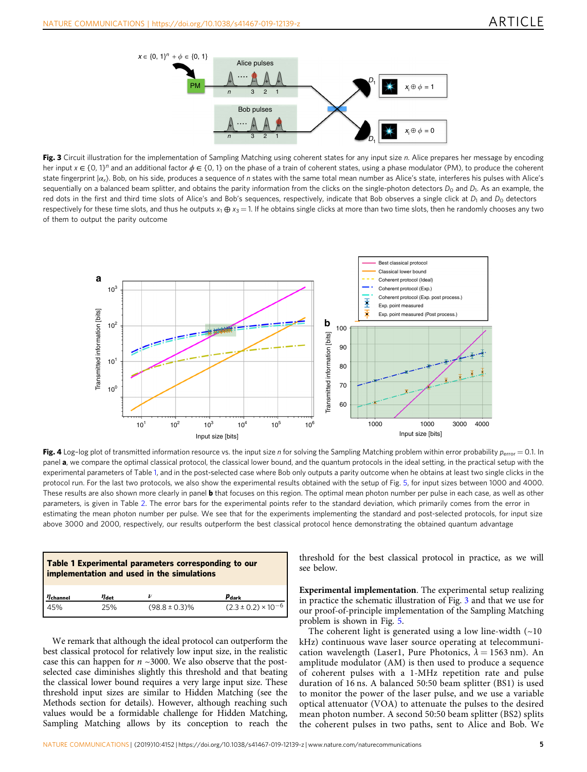<span id="page-4-0"></span>

Fig. 3 Circuit illustration for the implementation of Sampling Matching using coherent states for any input size n. Alice prepares her message by encoding her input  $x \in \{0, 1\}^n$  and an additional factor  $\phi \in \{0, 1\}$  on the phase of a train of coherent states, using a phase modulator (PM), to produce the coherent state fingerprint  $\alpha_x$ ). Bob, on his side, produces a sequence of *n* states with the same total mean number as Alice's state, interferes his pulses with Alice's sequentially on a balanced beam splitter, and obtains the parity information from the clicks on the single-photon detectors  $D_0$  and  $D_1$ . As an example, the red dots in the first and third time slots of Alice's and Bob's sequences, respectively, indicate that Bob observes a single click at  $D_1$  and  $D_0$  detectors respectively for these time slots, and thus he outputs  $x_1 \oplus x_3 = 1$ . If he obtains single clicks at more than two time slots, then he randomly chooses any two of them to output the parity outcome



Fig. 4 Log-log plot of transmitted information resource vs. the input size n for solving the Sampling Matching problem within error probability  $p_{error} = 0.1$ . In panel a, we compare the optimal classical protocol, the classical lower bound, and the quantum protocols in the ideal setting, in the practical setup with the experimental parameters of Table 1, and in the post-selected case where Bob only outputs a parity outcome when he obtains at least two single clicks in the protocol run. For the last two protocols, we also show the experimental results obtained with the setup of Fig. [5](#page-5-0), for input sizes between 1000 and 4000. These results are also shown more clearly in panel **b** that focuses on this region. The optimal mean photon number per pulse in each case, as well as other parameters, is given in Table [2](#page-6-0). The error bars for the experimental points refer to the standard deviation, which primarily comes from the error in estimating the mean photon number per pulse. We see that for the experiments implementing the standard and post-selected protocols, for input size above 3000 and 2000, respectively, our results outperform the best classical protocol hence demonstrating the obtained quantum advantage

| Table 1 Experimental parameters corresponding to our<br>implementation and used in the simulations |                  |                    |                                |  |  |  |  |
|----------------------------------------------------------------------------------------------------|------------------|--------------------|--------------------------------|--|--|--|--|
| $\eta$ channel                                                                                     | $\eta_{\rm det}$ | $\boldsymbol{\nu}$ | $p_{dark}$                     |  |  |  |  |
| 45%                                                                                                | 25%              | $(98.8 \pm 0.3)\%$ | $(2.3 \pm 0.2) \times 10^{-6}$ |  |  |  |  |

We remark that although the ideal protocol can outperform the best classical protocol for relatively low input size, in the realistic case this can happen for  $n \sim 3000$ . We also observe that the postselected case diminishes slightly this threshold and that beating the classical lower bound requires a very large input size. These threshold input sizes are similar to Hidden Matching (see the Methods section for details). However, although reaching such values would be a formidable challenge for Hidden Matching, Sampling Matching allows by its conception to reach the threshold for the best classical protocol in practice, as we will see below.

Experimental implementation. The experimental setup realizing in practice the schematic illustration of Fig. 3 and that we use for our proof-of-principle implementation of the Sampling Matching problem is shown in Fig. [5.](#page-5-0)

The coherent light is generated using a low line-width  $(-10$ kHz) continuous wave laser source operating at telecommunication wavelength (Laser1, Pure Photonics,  $\lambda = 1563$  nm). An amplitude modulator (AM) is then used to produce a sequence of coherent pulses with a 1-MHz repetition rate and pulse duration of 16 ns. A balanced 50:50 beam splitter (BS1) is used to monitor the power of the laser pulse, and we use a variable optical attenuator (VOA) to attenuate the pulses to the desired mean photon number. A second 50:50 beam splitter (BS2) splits the coherent pulses in two paths, sent to Alice and Bob. We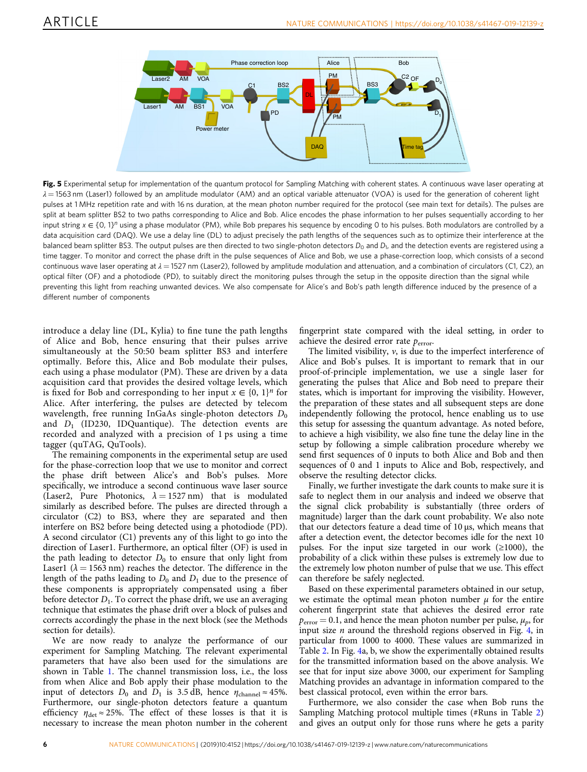<span id="page-5-0"></span>

Fig. 5 Experimental setup for implementation of the quantum protocol for Sampling Matching with coherent states. A continuous wave laser operating at  $\lambda = 1563$  nm (Laser1) followed by an amplitude modulator (AM) and an optical variable attenuator (VOA) is used for the generation of coherent light pulses at 1 MHz repetition rate and with 16 ns duration, at the mean photon number required for the protocol (see main text for details). The pulses are split at beam splitter BS2 to two paths corresponding to Alice and Bob. Alice encodes the phase information to her pulses sequentially according to her input string  $x \in \{0, 1\}^n$  using a phase modulator (PM), while Bob prepares his sequence by encoding 0 to his pulses. Both modulators are controlled by a data acquisition card (DAQ). We use a delay line (DL) to adjust precisely the path lengths of the sequences such as to optimize their interference at the balanced beam splitter BS3. The output pulses are then directed to two single-photon detectors  $D_0$  and  $D_1$ , and the detection events are registered using a time tagger. To monitor and correct the phase drift in the pulse sequences of Alice and Bob, we use a phase-correction loop, which consists of a second continuous wave laser operating at  $\lambda = 1527$  nm (Laser2), followed by amplitude modulation and attenuation, and a combination of circulators (C1, C2), an optical filter (OF) and a photodiode (PD), to suitably direct the monitoring pulses through the setup in the opposite direction than the signal while preventing this light from reaching unwanted devices. We also compensate for Alice's and Bob's path length difference induced by the presence of a different number of components

introduce a delay line (DL, Kylia) to fine tune the path lengths of Alice and Bob, hence ensuring that their pulses arrive simultaneously at the 50:50 beam splitter BS3 and interfere optimally. Before this, Alice and Bob modulate their pulses, each using a phase modulator (PM). These are driven by a data acquisition card that provides the desired voltage levels, which is fixed for Bob and corresponding to her input  $x \in \{0, 1\}^n$  for Alice. After interfering, the pulses are detected by telecom wavelength, free running InGaAs single-photon detectors  $D_0$ and  $D_1$  (ID230, IDQuantique). The detection events are recorded and analyzed with a precision of 1 ps using a time tagger (quTAG, QuTools).

The remaining components in the experimental setup are used for the phase-correction loop that we use to monitor and correct the phase drift between Alice's and Bob's pulses. More specifically, we introduce a second continuous wave laser source (Laser2, Pure Photonics,  $\lambda = 1527$  nm) that is modulated similarly as described before. The pulses are directed through a circulator (C2) to BS3, where they are separated and then interfere on BS2 before being detected using a photodiode (PD). A second circulator (C1) prevents any of this light to go into the direction of Laser1. Furthermore, an optical filter (OF) is used in the path leading to detector  $D_0$  to ensure that only light from Laser1 ( $\lambda = 1563$  nm) reaches the detector. The difference in the length of the paths leading to  $D_0$  and  $D_1$  due to the presence of these components is appropriately compensated using a fiber before detector  $D_1$ . To correct the phase drift, we use an averaging technique that estimates the phase drift over a block of pulses and corrects accordingly the phase in the next block (see the Methods section for details).

We are now ready to analyze the performance of our experiment for Sampling Matching. The relevant experimental parameters that have also been used for the simulations are shown in Table [1.](#page-4-0) The channel transmission loss, i.e., the loss from when Alice and Bob apply their phase modulation to the input of detectors  $D_0$  and  $D_1$  is 3.5 dB, hence  $\eta_{channel} \approx 45\%$ . Furthermore, our single-photon detectors feature a quantum efficiency  $\eta_{\text{det}} \approx 25\%$ . The effect of these losses is that it is necessary to increase the mean photon number in the coherent fingerprint state compared with the ideal setting, in order to achieve the desired error rate  $p_{\text{error}}$ .

The limited visibility, ν, is due to the imperfect interference of Alice and Bob's pulses. It is important to remark that in our proof-of-principle implementation, we use a single laser for generating the pulses that Alice and Bob need to prepare their states, which is important for improving the visibility. However, the preparation of these states and all subsequent steps are done independently following the protocol, hence enabling us to use this setup for assessing the quantum advantage. As noted before, to achieve a high visibility, we also fine tune the delay line in the setup by following a simple calibration procedure whereby we send first sequences of 0 inputs to both Alice and Bob and then sequences of 0 and 1 inputs to Alice and Bob, respectively, and observe the resulting detector clicks.

Finally, we further investigate the dark counts to make sure it is safe to neglect them in our analysis and indeed we observe that the signal click probability is substantially (three orders of magnitude) larger than the dark count probability. We also note that our detectors feature a dead time of 10 μs, which means that after a detection event, the detector becomes idle for the next 10 pulses. For the input size targeted in our work  $(\geq 1000)$ , the probability of a click within these pulses is extremely low due to the extremely low photon number of pulse that we use. This effect can therefore be safely neglected.

Based on these experimental parameters obtained in our setup, we estimate the optimal mean photon number  $\mu$  for the entire coherent fingerprint state that achieves the desired error rate  $p_{\text{error}} = 0.1$ , and hence the mean photon number per pulse,  $\mu_{\text{p}}$  for input size *n* around the threshold regions observed in Fig.  $4$ , in particular from 1000 to 4000. These values are summarized in Table [2](#page-6-0). In Fig. [4](#page-4-0)a, b, we show the experimentally obtained results for the transmitted information based on the above analysis. We see that for input size above 3000, our experiment for Sampling Matching provides an advantage in information compared to the best classical protocol, even within the error bars.

Furthermore, we also consider the case when Bob runs the Sampling Matching protocol multiple times (#Runs in Table [2](#page-6-0)) and gives an output only for those runs where he gets a parity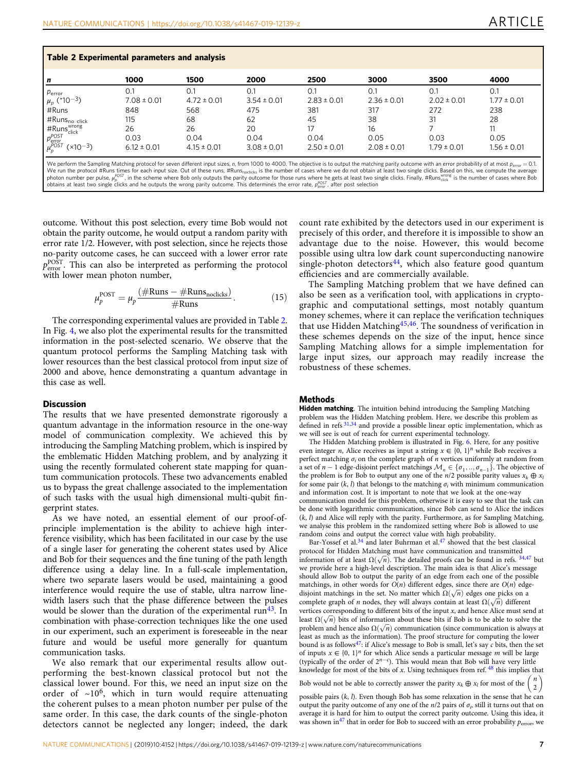<span id="page-6-0"></span>

| Table 2 Experimental parameters and analysis                                                                |                 |                 |                 |                 |                 |                 |                 |  |  |
|-------------------------------------------------------------------------------------------------------------|-----------------|-----------------|-----------------|-----------------|-----------------|-----------------|-----------------|--|--|
| n                                                                                                           | 1000            | 1500            | 2000            | 2500            | 3000            | 3500            | 4000            |  |  |
| $p_{\text{error}}$                                                                                          | 0.1             | 0.1             | 0.1             | 0.1             | 0.1             | 0.1             | 0.1             |  |  |
| $\mu_p$ (*10 <sup>-3</sup> )                                                                                | $7.08 \pm 0.01$ | $4.72 \pm 0.01$ | $3.54 \pm 0.01$ | $2.83 \pm 0.01$ | $2.36 \pm 0.01$ | $2.02 \pm 0.01$ | $1.77 \pm 0.01$ |  |  |
| #Runs                                                                                                       | 848             | 568             | 475             | 381             | 317             | 272             | 238             |  |  |
| $#Runs_{no \text{ click}}$                                                                                  | 115             | 68              | 62              | 45              | 38              | 31              | 28              |  |  |
|                                                                                                             | 26              | 26              | 20              | 17              | 16              |                 |                 |  |  |
|                                                                                                             | 0.03            | 0.04            | 0.04            | 0.04            | 0.05            | 0.03            | 0.05            |  |  |
| #Runswrong<br>$p_{\text{error}}^{\text{POST}}$<br>$\mu_{p}^{\text{POST}}$ (×10 <sup>-</sup><br>$(x10^{-3})$ | $6.12 \pm 0.01$ | $4.15 \pm 0.01$ | $3.08 \pm 0.01$ | $2.50 \pm 0.01$ | $2.08 \pm 0.01$ | $1.79 \pm 0.01$ | $1.56 \pm 0.01$ |  |  |

We perform the Sampling Matching protocol for seven different input sizes, n, from 1000 to 4000. The objective is to output the matching parity outcome with an error probability of at most  $p_{error} = 0.1$ . We run the protocol #Runs times for each input size. Out of these runs, #Runs<sub>nacticks</sub> is the number of cases where we do not obtain at least two single clicks. Based on this, we compute the average<br>photon number per puls obtains at least two single clicks and he outputs the wrong parity outcome. This determines the error rate,  $p_{error}^{POST}$ , after post selection

outcome. Without this post selection, every time Bob would not obtain the parity outcome, he would output a random parity with error rate 1/2. However, with post selection, since he rejects those no-parity outcome cases, he can succeed with a lower error rate  $p_{\text{error}}^{\text{POST}}$ . This can also be interpreted as performing the protocol with lower mean photon number,

$$
\mu_p^{\text{POST}} = \mu_p \frac{\left(\#\text{Runs} - \#\text{Runs}_{\text{noclicks}}\right)}{\#\text{Runs}}.
$$
\n(15)

The corresponding experimental values are provided in Table 2. In Fig. [4](#page-4-0), we also plot the experimental results for the transmitted information in the post-selected scenario. We observe that the quantum protocol performs the Sampling Matching task with lower resources than the best classical protocol from input size of 2000 and above, hence demonstrating a quantum advantage in this case as well.

#### **Discussion**

The results that we have presented demonstrate rigorously a quantum advantage in the information resource in the one-way model of communication complexity. We achieved this by introducing the Sampling Matching problem, which is inspired by the emblematic Hidden Matching problem, and by analyzing it using the recently formulated coherent state mapping for quantum communication protocols. These two advancements enabled us to bypass the great challenge associated to the implementation of such tasks with the usual high dimensional multi-qubit fingerprint states.

As we have noted, an essential element of our proof-ofprinciple implementation is the ability to achieve high interference visibility, which has been facilitated in our case by the use of a single laser for generating the coherent states used by Alice and Bob for their sequences and the fine tuning of the path length difference using a delay line. In a full-scale implementation, where two separate lasers would be used, maintaining a good interference would require the use of stable, ultra narrow linewidth lasers such that the phase difference between the pulses would be slower than the duration of the experimental run<sup>[43](#page-9-0)</sup>. In combination with phase-correction techniques like the one used in our experiment, such an experiment is foreseeable in the near future and would be useful more generally for quantum communication tasks.

We also remark that our experimental results allow outperforming the best-known classical protocol but not the classical lower bound. For this, we need an input size on the order of  $\sim 10^6$ , which in turn would require attenuating the coherent pulses to a mean photon number per pulse of the same order. In this case, the dark counts of the single-photon detectors cannot be neglected any longer; indeed, the dark

count rate exhibited by the detectors used in our experiment is precisely of this order, and therefore it is impossible to show an advantage due to the noise. However, this would become possible using ultra low dark count superconducting nanowire single-photon detectors<sup>[44](#page-9-0)</sup>, which also feature good quantum efficiencies and are commercially available.

The Sampling Matching problem that we have defined can also be seen as a verification tool, with applications in cryptographic and computational settings, most notably quantum money schemes, where it can replace the verification techniques that use Hidden Matching[45](#page-9-0),[46](#page-9-0). The soundness of verification in these schemes depends on the size of the input, hence since Sampling Matching allows for a simple implementation for large input sizes, our approach may readily increase the robustness of these schemes.

#### **Methods**

Hidden matching. The intuition behind introducing the Sampling Matching problem was the Hidden Matching problem. Here, we describe this problem as defined in refs [31,34](#page-9-0) and provide a possible linear optic implementation, which as we will see is out of reach for current experimental technology.

The Hidden Matching problem is illustrated in Fig. [6.](#page-7-0) Here, for any positive even integer *n*, Alice receives as input a string  $x \in \{0, 1\}^n$  while Bob receives a perfect matching  $\sigma_i$  on the complete graph of *n* vertices uniformly at random from a set of  $n-1$  edge-disjoint perfect matchings  $\mathcal{M}_n \in \{\sigma_1, ..., \sigma_{n-1}\}$ . The objective of the problem is for Bob to output any one of the *n*/2 possible parity values  $\kappa_i \oplus \kappa_j$ the problem is for Bob to output any one of the  $n/2$  possible parity values  $x_k \oplus x_l$ for some pair  $(k, l)$  that belongs to the matching  $\sigma_i$  with minimum communication and information cost. It is important to note that we look at the one-way communication model for this problem, otherwise it is easy to see that the task can be done with logarithmic communication, since Bob can send to Alice the indices  $(k, l)$  and Alice will reply with the parity. Furthermore, as for Sampling Matching, we analyse this problem in the randomized setting where Bob is allowed to use random coins and output the correct value with high probability.

Bar-Yossef et al.<sup>[34](#page-9-0)</sup> and later Buhrman et al.<sup>[47](#page-9-0)</sup> showed that the best classical protocol for Hidden Matching must have communication and transmitted information of at least  $\Omega(\sqrt{n})$ . The detailed proofs can be found in refs. [34](#page-9-0),[47](#page-9-0) but we provide here a high-level description. The main idea is that Alice's message we provide here a high-level description. The main idea is that Alice's message should allow Bob to output the parity of an edge from each one of the possible matchings, in other words for  $O(n)$  different edges, since there are  $O(n)$  edgedisjoint matchings in the set. No matter which  $\Omega(\sqrt{n})$  edges one picks on a<br>complete graph of *n* podes, they will always contain at least  $\Omega(\sqrt{n})$  difference complete graph of *n* nodes, they will always contain at least  $\Omega(\sqrt{n})$  different vertices corresponding to different bits of the input *x*, and hence Alice must send at least  $\Omega(\sqrt{n})$  bits of information about these bits if Bob is to be able to solve the problem and hence also  $O(\sqrt{n})$  communication (since communication is always a problem and hence also  $\Omega(\sqrt{n})$  communication (since communication is always at least as much as the information). The proof structure for computing the lower bound is as follows<sup>47</sup>: if Alice's message to Bob is small, let's say  $c$  bits, then the set of inputs  $x \in \{0, 1\}^n$  for which Alice sends a particular message m will be large (typically of the order of 2n−<sup>c</sup> ). This would mean that Bob will have very little knowledge for most of the bits of x. Using techniques from ref.  $48$  this implies that  $(n)$ 

Bob would not be able to correctly answer the parity  $x_k \oplus x_l$  for most of the

2 possible pairs (k, l). Even though Bob has some relaxation in the sense that he can output the parity outcome of any one of the  $n/2$  pairs of  $\sigma_i$ , still it turns out that on average it is hard for him to output the correct parity outcome. Using this idea, it was shown in<sup>[47](#page-9-0)</sup> that in order for Bob to succeed with an error probability  $p_{\text{error}}$ , we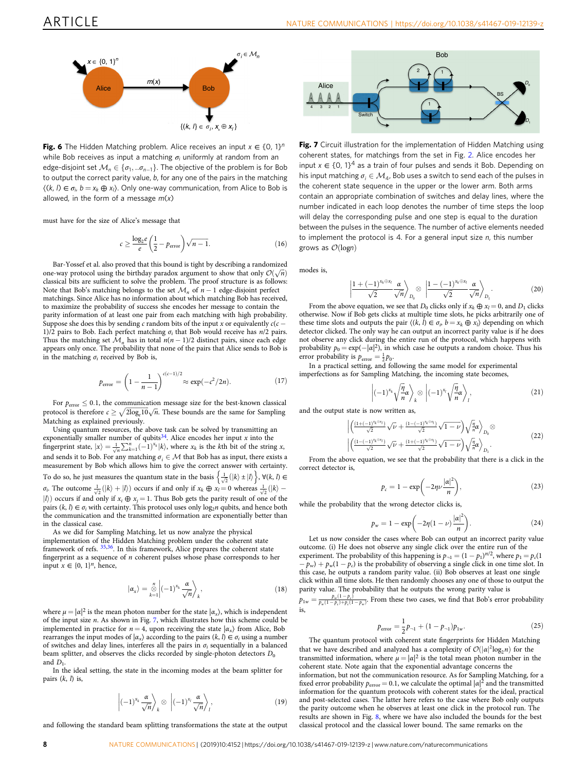<span id="page-7-0"></span>

**Fig. 6** The Hidden Matching problem. Alice receives an input  $x \in \{0, 1\}^n$ while Bob receives as input a matching  $\sigma_i$  uniformly at random from an edge-disjoint set  $\mathcal{M}_n \in \{\sigma_1...\sigma_{n-1}\}$ . The objective of the problem is for Bob<br>to output the cerrect parity value. A for any one of the pairs in the matching to output the correct parity value, b, for any one of the pairs in the matching  $\langle (k, l) \in \sigma_{i}, b = x_{k} \oplus x_{l} \rangle$ . Only one-way communication, from Alice to Bob is allowed, in the form of a message  $m(x)$ 

must have for the size of Alice's message that

$$
c \ge \frac{\log_2 e}{e} \left(\frac{1}{2} - p_{\text{error}}\right) \sqrt{n - 1}.\tag{16}
$$

Bar-Yossef et al. also proved that this bound is tight by describing a randomized one-way protocol using the birthday paradox argument to show that only  $\mathcal{O}(\sqrt{n})$ <br>classical bits are sufficient to solve the problem. The proof structure is as follows: classical bits are sufficient to solve the problem. The proof structure is as follows: Note that Bob's matching belongs to the set  $\mathcal{M}_n$  of  $n-1$  edge-disjoint perfect matchings. Since Alice has no information about which matching Bob has received, to maximize the probability of success she encodes her message to contain the parity information of at least one pair from each matching with high probability. Suppose she does this by sending  $c$  random bits of the input  $x$  or equivalently  $c(c - c)$ 1)/2 pairs to Bob. Each perfect matching  $\sigma_i$  that Bob would receive has n/2 pairs. Thus the matching set  $\mathcal{M}_n$  has in total  $n(n-1)/2$  distinct pairs, since each edge appears only once. The probability that none of the pairs that Alice sends to Bob is in the matching  $\sigma_i$  received by Bob is,

$$
p_{\text{error}} = \left(1 - \frac{1}{n-1}\right)^{c(c-1)/2} \approx \exp(-c^2/2n). \tag{17}
$$

For  $p_{\text{error}} \leq 0.1$ , the communication message size for the best-known classical protocol is therefore  $c \ge \sqrt{2\log_e 10\sqrt{n}}$ . These bounds are the same for Sampling<br>Matching as explained previously Matching as explained previously.

Using quantum resources, the above task can be solved by transmitting an exponentially smaller number of qubits<sup>34</sup>. Alice encodes her input  $x$  into the fingerprint state,  $|x\rangle = \frac{1}{\sqrt{n}} \sum_{k=1}^{n} (-1)^{x_k} |k\rangle$ , where  $x_k$  is the kth bit of the string x, and sends it to Bob. For any matching  $\sigma_i \in \mathcal{M}$  that Bob has as input, there exists a measurement by Bob which allows him to give the correct answer with certainty. To do so, he just measures the quantum state in the basis  $\left\{\frac{1}{\sqrt{2}}(|k\rangle \pm |l\rangle\right\}$ ,  $\forall (k, l) \in \mathbb{R}$  $\sigma_i$ . The outcome  $\frac{1}{\sqrt{2}}(|k\rangle + |l\rangle)$  occurs if and only if  $x_k \oplus x_l = 0$  whereas  $\frac{1}{\sqrt{2}}(|k\rangle |l\rangle$ ) occurs if and only if  $x_i \oplus x_j = 1$ . Thus Bob gets the parity result of one of the pairs  $(k, l) \in \sigma_i$  with certainty. This protocol uses only  $\log_2 n$  qubits, and hence both the communication and the transmitted information are exponentially better than in the classical case.

As we did for Sampling Matching, let us now analyze the physical implementation of the Hidden Matching problem under the coherent state framework of refs. [35,36.](#page-9-0) In this framework, Alice prepares the coherent state fingerprint as a sequence of  $n$  coherent pulses whose phase corresponds to her input  $x \in \{0, 1\}^n$ , hence,

$$
|\alpha_{x}\rangle = \mathop{\otimes}\limits_{k=1}^{n} \left|(-1)^{x_{k}} \frac{\alpha}{\sqrt{n}}\right\rangle_{k},
$$
 (18)

where  $\mu = |\alpha|^2$  is the mean photon number for the state  $|\alpha_x\rangle$ , which is independent of the input size n. As shown in Fig. 7, which illustrates how this scheme could be implemented in practice for  $n = 4$ , upon receiving the state  $|\alpha_x\rangle$  from Alice, Bob rearranges the input modes of  $|\alpha_x\rangle$  according to the pairs  $(k, l) \in \sigma_i$  using a number of switches and delay lines, interferes all the pairs in  $\sigma_i$  sequentially in a balanced beam splitter, and observes the clicks recorded by single-photon detectors  $D_0$ and  $D<sub>1</sub>$ .

In the ideal setting, the state in the incoming modes at the beam splitter for pairs  $(k, l)$  is

$$
\left|(-1)^{x_k} \frac{\alpha}{\sqrt{n}}\right\rangle_k \otimes \left|(-1)^{x_l} \frac{\alpha}{\sqrt{n}}\right\rangle_l,
$$
\n(19)

and following the standard beam splitting transformations the state at the output



Fig. 7 Circuit illustration for the implementation of Hidden Matching using coherent states, for matchings from the set in Fig. [2.](#page-2-0) Alice encodes her input  $x \in \{0, 1\}^4$  as a train of four pulses and sends it Bob. Depending on his input matching  $\sigma_i \in M_{4}$ , Bob uses a switch to send each of the pulses in the coherent state sequence in the upper or the lower arm. Both arms contain an appropriate combination of switches and delay lines, where the number indicated in each loop denotes the number of time steps the loop will delay the corresponding pulse and one step is equal to the duration between the pulses in the sequence. The number of active elements needed to implement the protocol is 4. For a general input size  $n$ , this number grows as  $\mathcal{O}(\text{log}n)$ 

modes is,

$$
\left|\frac{1+(-1)^{x_k \oplus x_l}}{\sqrt{2}} \frac{\alpha}{\sqrt{n}}\right\rangle_{D_0} \otimes \left|\frac{1-(-1)^{x_k \oplus x_l}}{\sqrt{2}} \frac{\alpha}{\sqrt{n}}\right\rangle_{D_1}.
$$
 (20)

From the above equation, we see that  $D_0$  clicks only if  $x_k \oplus x_l = 0$ , and  $D_1$  clicks otherwise. Now if Bob gets clicks at multiple time slots, he picks arbitrarily one of these time slots and outputs the pair  $\langle (k, l) \in \sigma_i, b = x_k \oplus x_l \rangle$  depending on which detector clicked. The only way he can output an incorrect parity value is if he does not observe any click during the entire run of the protocol, which happens with probability  $p_0 = \exp(-|\alpha|^2)$ , in which case he outputs a random choice. Thus his error probability is  $p_{\text{error}} = \frac{1}{2}p_0$ .<br>In a practical setting and for

In a practical setting, and following the same model for experimental imperfections as for Sampling Matching, the incoming state becomes,

$$
\left|(-1)^{x_k}\sqrt{\frac{\eta}{n}}\alpha\right\rangle_k \otimes \left|(-1)^{x_l}\sqrt{\frac{\eta}{n}}\alpha\right\rangle_l,
$$
\n(21)

and the output state is now written as,

$$
\left| \left( \frac{(1+(-1)^{x_k \otimes x_l})}{\sqrt{2}} \sqrt{\nu} + \frac{(1-(-1)^{x_k \otimes x_l})}{\sqrt{2}} \sqrt{1-\nu} \right) \sqrt{\frac{\eta}{n}} \sqrt{\lambda}_{D_0} \right| \right|
$$
\n
$$
\left| \left( \frac{(1-(-1)^{x_k \otimes x_l})}{\sqrt{2}} \sqrt{\nu} + \frac{(1+(-1)^{x_k \otimes x_l})}{\sqrt{2}} \sqrt{1-\nu} \right) \sqrt{\frac{\eta}{n}} \sqrt{\lambda}_{D_1} . \tag{22}
$$

From the above equation, we see that the probability that there is a click in the correct detector is,

$$
p_c = 1 - \exp\left(-2\eta\nu\frac{|\alpha|^2}{n}\right),\tag{23}
$$

while the probability that the wrong detector clicks is,

$$
p_w = 1 - \exp\left(-2\eta(1-\nu)\frac{|\alpha|^2}{n}\right).
$$
 (24)

Let us now consider the cases where Bob can output an incorrect parity value outcome. (i) He does not observe any single click over the entire run of the experiment. The probability of this happening is  $p_{-1} = (1 - p_1)^{n/2}$ , where  $p_1 = p_c(1 - p_2)$  $-p_w$ ) +  $p_w(1-p_c)$  is the probability of observing a single click in one time slot. In this case, he outputs a random parity value. (ii) Bob observes at least one single click within all time slots. He then randomly chooses any one of those to output the parity value. The probability that he outputs the wrong parity value is

 $p_{1w} = \frac{p_w(1-p_c)}{p_w(1-p_c)+p_c(1-p_w)}$ . From these two cases, we find that Bob's error probability is,

$$
p_{\text{error}} = \frac{1}{2}p_{-1} + (1 - p_{-1})p_{1w}.
$$
 (25)

The quantum protocol with coherent state fingerprints for Hidden Matching that we have described and analyzed has a complexity of  $\mathcal{O}(|\alpha|^2 \log_2 n)$  for the transmitted information, where  $u = |\alpha|^2$  is the total mean photon number in 1 transmitted information, where  $\mu = |\alpha|^2$  is the total mean photon number in the coherent state. Note again that the exponential advantage concerns the

information, but not the communication resource. As for Sampling Matching, for a fixed error probability  $p_{\text{error}} = 0.1$ , we calculate the optimal  $|\alpha|^2$  and the transmitted information for the quantum protocols with coherent states for the ideal, practical and post-selected cases. The latter here refers to the case where Bob only outputs the parity outcome when he observes at least one click in the protocol run. The results are shown in Fig. [8,](#page-8-0) where we have also included the bounds for the best classical protocol and the classical lower bound. The same remarks on the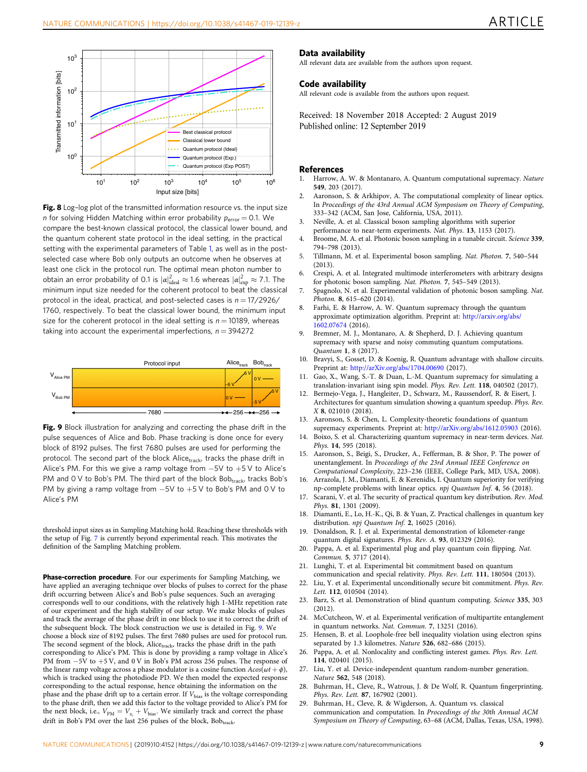<span id="page-8-0"></span>

Fig. 8 Log-log plot of the transmitted information resource vs. the input size n for solving Hidden Matching within error probability  $p_{\text{error}} = 0.1$ . We compare the best-known classical protocol, the classical lower bound, and the quantum coherent state protocol in the ideal setting, in the practical setting with the experimental parameters of Table [1,](#page-4-0) as well as in the postselected case where Bob only outputs an outcome when he observes at least one click in the protocol run. The optimal mean photon number to obtain an error probability of 0.1 is  $|\alpha|^2_{\text{ideal}} \approx 1.6$  whereas  $|\alpha|^2_{\text{exp}} \approx 7.1$ . The minimum input size pooded for the coherent protocol to best the classics minimum input size needed for the coherent protocol to beat the classical protocol in the ideal, practical, and post-selected cases is  $n = 17/2926/$ 1760, respectively. To beat the classical lower bound, the minimum input size for the coherent protocol in the ideal setting is  $n = 10189$ , whereas taking into account the experimental imperfections,  $n = 394272$ 



Fig. 9 Block illustration for analyzing and correcting the phase drift in the pulse sequences of Alice and Bob. Phase tracking is done once for every block of 8192 pulses. The first 7680 pulses are used for performing the protocol. The second part of the block Alice<sub>track</sub>, tracks the phase drift in Alice's PM. For this we give a ramp voltage from −5V to +5 V to Alice's PM and  $0 \vee$  to Bob's PM. The third part of the block Bob $_{\text{track}}$ , tracks Bob's PM by giving a ramp voltage from −5V to +5V to Bob's PM and 0V to Alice's PM

threshold input sizes as in Sampling Matching hold. Reaching these thresholds with the setup of Fig. [7](#page-7-0) is currently beyond experimental reach. This motivates the definition of the Sampling Matching problem.

Phase-correction procedure. For our experiments for Sampling Matching, we have applied an averaging technique over blocks of pulses to correct for the phase drift occurring between Alice's and Bob's pulse sequences. Such an averaging corresponds well to our conditions, with the relatively high 1-MHz repetition rate of our experiment and the high stability of our setup. We make blocks of pulses and track the average of the phase drift in one block to use it to correct the drift of the subsequent block. The block construction we use is detailed in Fig. 9. We choose a block size of 8192 pulses. The first 7680 pulses are used for protocol run. The second segment of the block, Alice<sub>track</sub>, tracks the phase drift in the path corresponding to Alice's PM. This is done by providing a ramp voltage in Alice's PM from −5V to +5 V, and 0 V in Bob's PM across 256 pulses. The response of the linear ramp voltage across a phase modulator is a cosine function  $A\cos(\omega t + \phi)$ , which is tracked using the photodiode PD. We then model the expected response corresponding to the actual response, hence obtaining the information on the phase and the phase drift up to a certain error. If  $V_{bias}$  is the voltage corresponding to the phase drift, then we add this factor to the voltage provided to Alice's PM for the next block, i.e.,  $V_{PM} = V_{x_i} + V_{bias}$ . We similarly track and correct the phase drift in Bob's PM over the last 256 pulses of the block, Bob<sub>track</sub>.

#### Data availability

All relevant data are available from the authors upon request.

#### Code availability

All relevant code is available from the authors upon request.

Received: 18 November 2018 Accepted: 2 August 2019 Published online: 12 September 2019

#### **References**

- 1. Harrow, A. W. & Montanaro, A. Quantum computational supremacy. Nature 549, 203 (2017).
- 2. Aaronson, S. & Arkhipov, A. The computational complexity of linear optics. In Proceedings of the 43rd Annual ACM Symposium on Theory of Computing, 333–342 (ACM, San Jose, California, USA, 2011).
- 3. Neville, A. et al. Classical boson sampling algorithms with superior performance to near-term experiments. Nat. Phys. 13, 1153 (2017).
- 4. Broome, M. A. et al. Photonic boson sampling in a tunable circuit. Science 339, 794–798 (2013).
- 5. Tillmann, M. et al. Experimental boson sampling. Nat. Photon. 7, 540–544 (2013).
- 6. Crespi, A. et al. Integrated multimode interferometers with arbitrary designs for photonic boson sampling. Nat. Photon. 7, 545–549 (2013).
- 7. Spagnolo, N. et al. Experimental validation of photonic boson sampling. Nat. Photon. 8, 615–620 (2014).
- 8. Farhi, E. & Harrow, A. W. Quantum supremacy through the quantum approximate optimization algorithm. Preprint at: [http://arxiv.org/abs/](http://arxiv.org/abs/1602.07674) [1602.07674](http://arxiv.org/abs/1602.07674) (2016).
- 9. Bremner, M. J., Montanaro, A. & Shepherd, D. J. Achieving quantum supremacy with sparse and noisy commuting quantum computations. Quantum 1, 8 (2017).
- 10. Bravyi, S., Gosset, D. & Koenig, R. Quantum advantage with shallow circuits. Preprint at: <http://arXiv.org/abs/1704.00690> (2017).
- 11. Gao, X., Wang, S.-T. & Duan, L.-M. Quantum supremacy for simulating a translation-invariant ising spin model. Phys. Rev. Lett. 118, 040502 (2017).
- 12. Bermejo-Vega, J., Hangleiter, D., Schwarz, M., Raussendorf, R. & Eisert, J. Architectures for quantum simulation showing a quantum speedup. Phys. Rev. X 8, 021010 (2018).
- 13. Aaronson, S. & Chen, L. Complexity-theoretic foundations of quantum supremacy experiments. Preprint at: <http://arXiv.org/abs/1612.05903> (2016).
- Boixo, S. et al. Characterizing quantum supremacy in near-term devices. Nat. Phys. 14, 595 (2018).
- 15. Aaronson, S., Beigi, S., Drucker, A., Fefferman, B. & Shor, P. The power of unentanglement. In Proceedings of the 23rd Annual IEEE Conference on Computational Complexity, 223–236 (IEEE, College Park, MD, USA, 2008).
- 16. Arrazola, J. M., Diamanti, E. & Kerenidis, I. Quantum superiority for verifying np-complete problems with linear optics. npj Quantum Inf. 4, 56 (2018).
- 17. Scarani, V. et al. The security of practical quantum key distribution. Rev. Mod. Phys. 81, 1301 (2009).
- 18. Diamanti, E., Lo, H.-K., Qi, B. & Yuan, Z. Practical challenges in quantum key distribution. npj Quantum Inf. 2, 16025 (2016).
- 19. Donaldson, R. J. et al. Experimental demonstration of kilometer-range quantum digital signatures. Phys. Rev. A. 93, 012329 (2016).
- 20. Pappa, A. et al. Experimental plug and play quantum coin flipping. Nat. Commun. 5, 3717 (2014).
- 21. Lunghi, T. et al. Experimental bit commitment based on quantum communication and special relativity. Phys. Rev. Lett. 111, 180504 (2013). 22. Liu, Y. et al. Experimental unconditionally secure bit commitment. Phys. Rev.
- Lett. 112, 010504 (2014). 23. Barz, S. et al. Demonstration of blind quantum computing. Science 335, 303
- (2012).
- 24. McCutcheon, W. et al. Experimental verification of multipartite entanglement in quantum networks. Nat. Commun. 7, 13251 (2016).
- 25. Hensen, B. et al. Loophole-free bell inequality violation using electron spins separated by 1.3 kilometres. Nature 526, 682–686 (2015).
- 26. Pappa, A. et al. Nonlocality and conflicting interest games. Phys. Rev. Lett. 114, 020401 (2015).
- 27. Liu, Y. et al. Device-independent quantum random-number generation. Nature 562, 548 (2018).
- 28. Buhrman, H., Cleve, R., Watrous, J. & De Wolf, R. Quantum fingerprinting. Phys. Rev. Lett. 87, 167902 (2001).
- 29. Buhrman, H., Cleve, R. & Wigderson, A. Quantum vs. classical communication and computation. In Proceedings of the 30th Annual ACM Symposium on Theory of Computing, 63–68 (ACM, Dallas, Texas, USA, 1998).